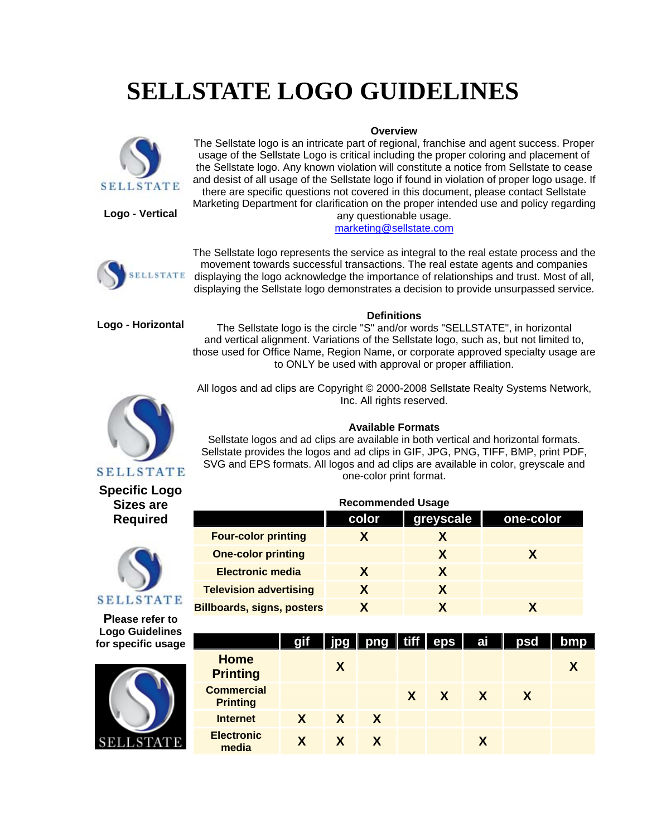# **SELLSTATE LOGO GUIDELINES**



**Overview** The Sellstate logo is an intricate part of regional, franchise and agent success. Proper usage of the Sellstate Logo is critical including the proper coloring and placement of the Sellstate logo. Any known violation will constitute a notice from Sellstate to cease and desist of all usage of the Sellstate logo if found in violation of proper logo usage. If there are specific questions not covered in this document, please contact Sellstate Marketing Department for clarification on the proper intended use and policy regarding

**Logo - Vertical**

#### any questionable usage. [marketing@sellstate.com](mailto:marketing@sellstate.com)



The Sellstate logo represents the service as integral to the real estate process and the movement towards successful transactions. The real estate agents and companies displaying the logo acknowledge the importance of relationships and trust. Most of all, displaying the Sellstate logo demonstrates a decision to provide unsurpassed service.

**Logo - Horizontal**

# **Definitions**

The Sellstate logo is the circle "S" and/or words "SELLSTATE", in horizontal and vertical alignment. Variations of the Sellstate logo, such as, but not limited to, those used for Office Name, Region Name, or corporate approved specialty usage are to ONLY be used with approval or proper affiliation.



All logos and ad clips are Copyright © 2000-2008 Sellstate Realty Systems Network, Inc. All rights reserved.

# **Available Formats**

Sellstate logos and ad clips are available in both vertical and horizontal formats. Sellstate provides the logos and ad clips in GIF, JPG, PNG, TIFF, BMP, print PDF, SVG and EPS formats. All logos and ad clips are available in color, greyscale and one-color print format.

| <b>Recommended Usage</b>          |       |           |           |  |  |  |  |
|-----------------------------------|-------|-----------|-----------|--|--|--|--|
|                                   | color | greyscale | one-color |  |  |  |  |
| <b>Four-color printing</b>        |       |           |           |  |  |  |  |
| <b>One-color printing</b>         |       | X         |           |  |  |  |  |
| <b>Electronic media</b>           | X     |           |           |  |  |  |  |
| <b>Television advertising</b>     | X     | x         |           |  |  |  |  |
| <b>Billboards, signs, posters</b> |       |           |           |  |  |  |  |

|                                      | gif          | jpg          | png   tiff   eps |              |                         | ai | psd | bmp |
|--------------------------------------|--------------|--------------|------------------|--------------|-------------------------|----|-----|-----|
| <b>Home</b><br><b>Printing</b>       |              | X            |                  |              |                         |    |     |     |
| <b>Commercial</b><br><b>Printing</b> |              |              |                  | $\mathsf{X}$ | $\mathsf{X} \mathsf{X}$ |    | X   |     |
| <b>Internet</b>                      | $\mathbf{X}$ | $\mathsf{X}$ | $\mathbf{X}$     |              |                         |    |     |     |
| <b>Electronic</b><br>media           | <b>X</b>     | X.           |                  |              |                         |    |     |     |

**SELLSTATE Specific Logo** 

**Sizes are Required**



**Please refer to Logo Guidelines for specific usage**

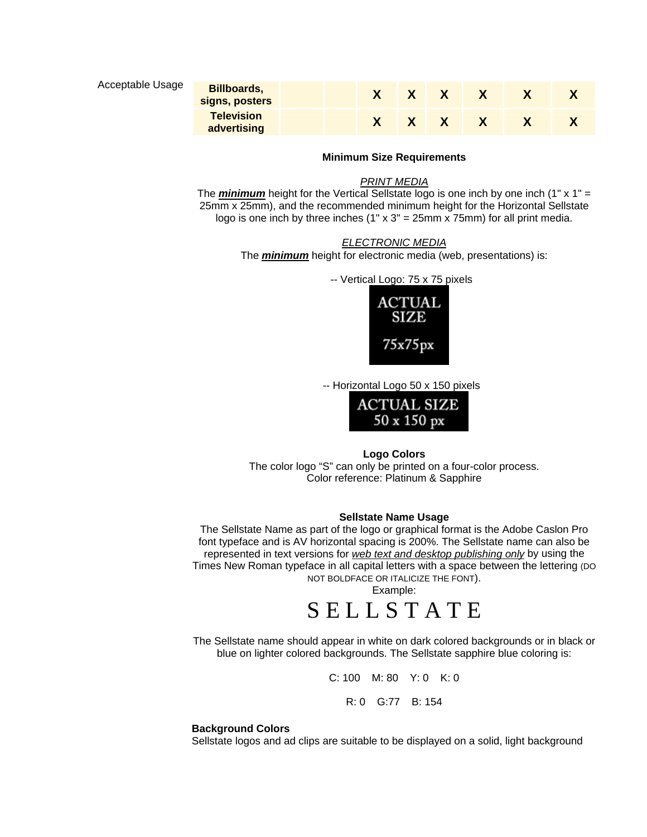# **Acceptable Usage**

| <b>Billboards,</b><br>signs, posters |  |  |  |  |
|--------------------------------------|--|--|--|--|
| <b>Television</b><br>advertising     |  |  |  |  |

#### **Minimum Size Requirements**

# *PRINT MEDIA*

The *minimum* height for the Vertical Sellstate logo is one inch by one inch (1" x 1" = 25mm x 25mm), and the recommended minimum height for the Horizontal Sellstate logo is one inch by three inches  $(1" \times 3" = 25$ mm x 75mm) for all print media.

# *ELECTRONIC MEDIA*

The *minimum* height for electronic media (web, presentations) is:

-- Vertical Logo: 75 x 75 pixels



-- Horizontal Logo 50 x 150 pixels



#### **Logo Colors**

The color logo "S" can only be printed on a four-color process. Color reference: Platinum & Sapphire

# **Sellstate Name Usage**

The Sellstate Name as part of the logo or graphical format is the Adobe Caslon Pro font typeface and is AV horizontal spacing is 200%. The Sellstate name can also be represented in text versions for *web text and desktop publishing only* by using the Times New Roman typeface in all capital letters with a space between the lettering (DO NOT BOLDFACE OR ITALICIZE THE FONT).

Example:

# S E L L S T A T E

The Sellstate name should appear in white on dark colored backgrounds or in black or blue on lighter colored backgrounds. The Sellstate sapphire blue coloring is:

C: 100 M: 80 Y: 0 K: 0

R: 0 G:77 B: 154

#### **ackground Colors B**

Sellstate logos and ad clips are suitable to be displayed on a solid, light background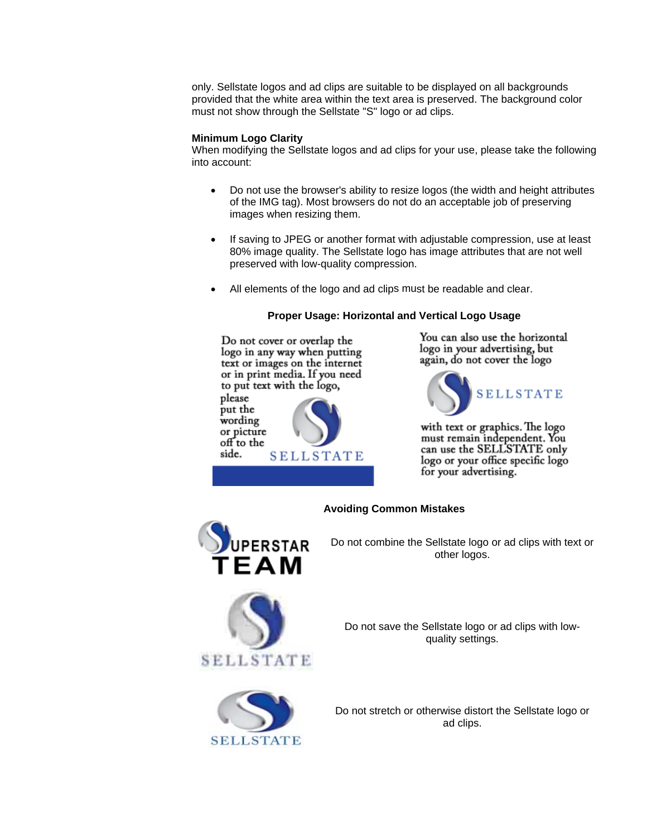only. Sellstate logos and ad clips are suitable to be displayed on all backgrounds provided that the white area within the text area is preserved. The background col or must not show through the Sellstate "S" logo or ad clips.

# **M inimum Logo Clarity**

When modifying the Sellstate logos and ad clips for your use, please take the following into account:

- Do not use the browser's ability to resize logos (the width and height attributes of the IMG tag). Most browsers do not do an acceptable job of preserving images when resizing them.
- If saving to JPEG or another format with adjustable compression, use at least 80% image quality. The Sellstate logo has image attributes that are not well preserved with low-quality compression.
- All elements of the logo and ad clips must be readable and clear.

# **Proper Usage: Horizontal and Vertical Logo Usage**

Do not cover or overlap the logo in any way when putting text or images on the internet or in print media. If you need to put text with the logo, please put the wording or picture off to the side. **SELLSTATE** 

You can also use the horizontal logo in your advertising, but again, do not cover the logo



with text or graphics. The logo must remain independent. You can use the SELLSTATE only logo or your office specific logo for your advertising.



# **Avoiding Common Mistakes**

Do not combine the Sellstate logo or ad clips with text or other logos.





Do not save the Sellstate logo or ad clips with lowquality settings.

Do not stretch or otherwise distort the Sellstate logo or ad clips.